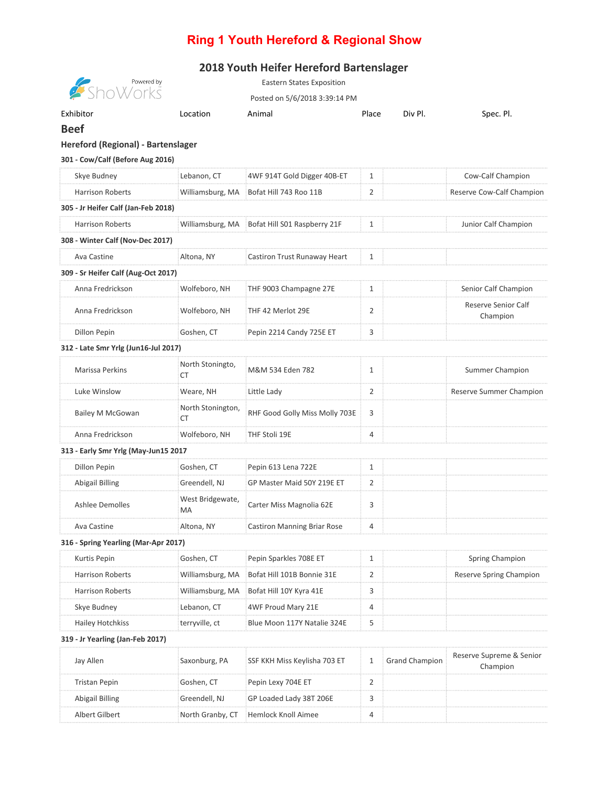## **Ring 1 Youth Hereford & Regional Show**

## **2018 Youth Heifer Hereford Bartenslager**

| Powered by<br>nWorks                 |                         | <b>Eastern States Exposition</b>   |                |                       |                                      |
|--------------------------------------|-------------------------|------------------------------------|----------------|-----------------------|--------------------------------------|
|                                      |                         | Posted on 5/6/2018 3:39:14 PM      |                |                       |                                      |
| Exhibitor                            | Location                | Animal                             | Place          | Div Pl.               | Spec. Pl.                            |
| <b>Beef</b>                          |                         |                                    |                |                       |                                      |
| Hereford (Regional) - Bartenslager   |                         |                                    |                |                       |                                      |
| 301 - Cow/Calf (Before Aug 2016)     |                         |                                    |                |                       |                                      |
| Skye Budney                          | Lebanon, CT             | 4WF 914T Gold Digger 40B-ET        | 1              |                       | Cow-Calf Champion                    |
| <b>Harrison Roberts</b>              | Williamsburg, MA        | Bofat Hill 743 Roo 11B             | 2              |                       | Reserve Cow-Calf Champion            |
| 305 - Jr Heifer Calf (Jan-Feb 2018)  |                         |                                    |                |                       |                                      |
| <b>Harrison Roberts</b>              | Williamsburg, MA        | Bofat Hill S01 Raspberry 21F       | 1              |                       | Junior Calf Champion                 |
| 308 - Winter Calf (Nov-Dec 2017)     |                         |                                    |                |                       |                                      |
| Ava Castine                          | Altona, NY              | Castiron Trust Runaway Heart       | 1              |                       |                                      |
| 309 - Sr Heifer Calf (Aug-Oct 2017)  |                         |                                    |                |                       |                                      |
| Anna Fredrickson                     | Wolfeboro, NH           | THF 9003 Champagne 27E             | $\mathbf{1}$   |                       | Senior Calf Champion                 |
| Anna Fredrickson                     | Wolfeboro, NH           | THF 42 Merlot 29E                  | 2              |                       | Reserve Senior Calf<br>Champion      |
| Dillon Pepin                         | Goshen, CT              | Pepin 2214 Candy 725E ET           | 3              |                       |                                      |
| 312 - Late Smr Yrlg (Jun16-Jul 2017) |                         |                                    |                |                       |                                      |
| Marissa Perkins                      | North Stoningto,<br>СT  | M&M 534 Eden 782                   | $\mathbf{1}$   |                       | Summer Champion                      |
| Luke Winslow                         | Weare, NH               | Little Lady                        | 2              |                       | Reserve Summer Champion              |
| <b>Bailey M McGowan</b>              | North Stonington,<br>СT | RHF Good Golly Miss Molly 703E     | 3              |                       |                                      |
| Anna Fredrickson                     | Wolfeboro, NH           | THF Stoli 19E                      | 4              |                       |                                      |
| 313 - Early Smr Yrlg (May-Jun15 2017 |                         |                                    |                |                       |                                      |
| Dillon Pepin                         | Goshen, CT              | Pepin 613 Lena 722E                | 1              |                       |                                      |
| <b>Abigail Billing</b>               | Greendell, NJ           | GP Master Maid 50Y 219E ET         | 2              |                       |                                      |
| <b>Ashlee Demolles</b>               | West Bridgewate,<br>MA  | Carter Miss Magnolia 62E           | 3              |                       |                                      |
| Ava Castine                          | Altona, NY              | <b>Castiron Manning Briar Rose</b> | 4              |                       |                                      |
| 316 - Spring Yearling (Mar-Apr 2017) |                         |                                    |                |                       |                                      |
| Kurtis Pepin                         | Goshen, CT              | Pepin Sparkles 708E ET             | $\mathbf{1}$   |                       | <b>Spring Champion</b>               |
| <b>Harrison Roberts</b>              | Williamsburg, MA        | Bofat Hill 101B Bonnie 31E         | $\overline{2}$ |                       | Reserve Spring Champion              |
| <b>Harrison Roberts</b>              | Williamsburg, MA        | Bofat Hill 10Y Kyra 41E            | 3              |                       |                                      |
| Skye Budney                          | Lebanon, CT             | 4WF Proud Mary 21E                 | 4              |                       |                                      |
| <b>Hailey Hotchkiss</b>              | terryville, ct          | Blue Moon 117Y Natalie 324E        | 5              |                       |                                      |
| 319 - Jr Yearling (Jan-Feb 2017)     |                         |                                    |                |                       |                                      |
| Jay Allen                            | Saxonburg, PA           | SSF KKH Miss Keylisha 703 ET       | 1              | <b>Grand Champion</b> | Reserve Supreme & Senior<br>Champion |
| <b>Tristan Pepin</b>                 | Goshen, CT              | Pepin Lexy 704E ET                 | 2              |                       |                                      |
| Abigail Billing                      | Greendell, NJ           | GP Loaded Lady 38T 206E            | 3              |                       |                                      |
| Albert Gilbert                       | North Granby, CT        | <b>Hemlock Knoll Aimee</b>         | 4              |                       |                                      |